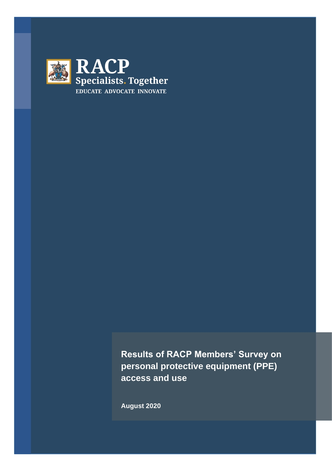

**Results of RACP Members' Survey on personal protective equipment (PPE) access and use**

**August 2020**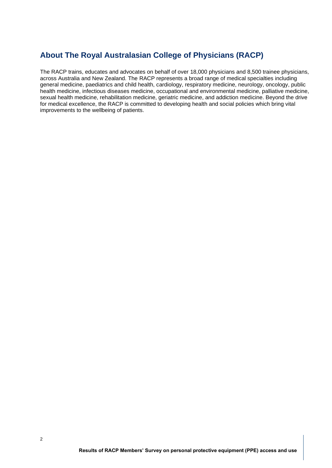# **About The Royal Australasian College of Physicians (RACP)**

The RACP trains, educates and advocates on behalf of over 18,000 physicians and 8,500 trainee physicians, across Australia and New Zealand. The RACP represents a broad range of medical specialties including general medicine, paediatrics and child health, cardiology, respiratory medicine, neurology, oncology, public health medicine, infectious diseases medicine, occupational and environmental medicine, palliative medicine, sexual health medicine, rehabilitation medicine, geriatric medicine, and addiction medicine. Beyond the drive for medical excellence, the RACP is committed to developing health and social policies which bring vital improvements to the wellbeing of patients.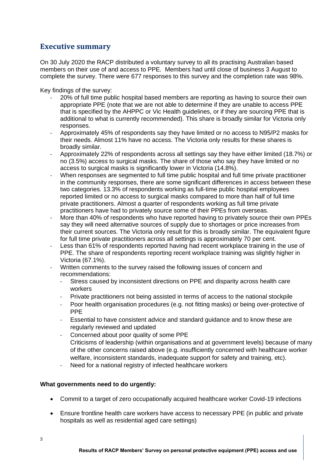## **Executive summary**

On 30 July 2020 the RACP distributed a voluntary survey to all its practising Australian based members on their use of and access to PPE. Members had until close of business 3 August to complete the survey. There were 677 responses to this survey and the completion rate was 98%.

Key findings of the survey:

- 20% of full time public hospital based members are reporting as having to source their own appropriate PPE (note that we are not able to determine if they are unable to access PPE that is specified by the AHPPC or Vic Health guidelines, or if they are sourcing PPE that is additional to what is currently recommended). This share is broadly similar for Victoria only responses.
- Approximately 45% of respondents say they have limited or no access to N95/P2 masks for their needs. Almost 11% have no access. The Victoria only results for these shares is broadly similar.
- Approximately 22% of respondents across all settings say they have either limited (18.7%) or no (3.5%) access to surgical masks. The share of those who say they have limited or no access to surgical masks is significantly lower in Victoria (14.8%).
- When responses are segmented to full time public hospital and full time private practitioner in the community responses, there are some significant differences in access between these two categories. 13.3% of respondents working as full-time public hospital employees reported limited or no access to surgical masks compared to more than half of full time private practitioners. Almost a quarter of respondents working as full time private practitioners have had to privately source some of their PPEs from overseas.
- More than 40% of respondents who have reported having to privately source their own PPEs say they will need alternative sources of supply due to shortages or price increases from their current sources. The Victoria only result for this is broadly similar. The equivalent figure for full time private practitioners across all settings is approximately 70 per cent.
- Less than 61% of respondents reported having had recent workplace training in the use of PPE. The share of respondents reporting recent workplace training was slightly higher in Victoria (67.1%).
- Written comments to the survey raised the following issues of concern and recommendations:
	- Stress caused by inconsistent directions on PPE and disparity across health care workers
	- Private practitioners not being assisted in terms of access to the national stockpile
	- Poor health organisation procedures (e.g. not fitting masks) or being over-protective of PPE
	- Essential to have consistent advice and standard guidance and to know these are regularly reviewed and updated
	- Concerned about poor quality of some PPE Criticisms of leadership (within organisations and at government levels) because of many of the other concerns raised above (e.g. insufficiently concerned with healthcare worker welfare, inconsistent standards, inadequate support for safety and training, etc).
	- Need for a national registry of infected healthcare workers

#### **What governments need to do urgently:**

- Commit to a target of zero occupationally acquired healthcare worker Covid-19 infections
- Ensure frontline health care workers have access to necessary PPE (in public and private hospitals as well as residential aged care settings)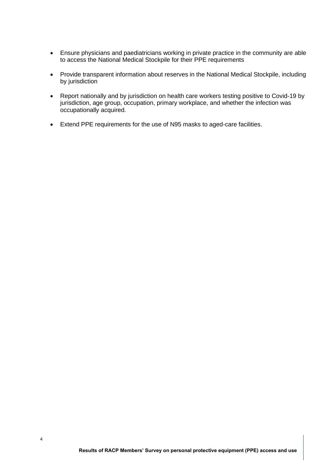- Ensure physicians and paediatricians working in private practice in the community are able to access the National Medical Stockpile for their PPE requirements
- Provide transparent information about reserves in the National Medical Stockpile, including by jurisdiction
- Report nationally and by jurisdiction on health care workers testing positive to Covid-19 by jurisdiction, age group, occupation, primary workplace, and whether the infection was occupationally acquired.
- Extend PPE requirements for the use of N95 masks to aged-care facilities.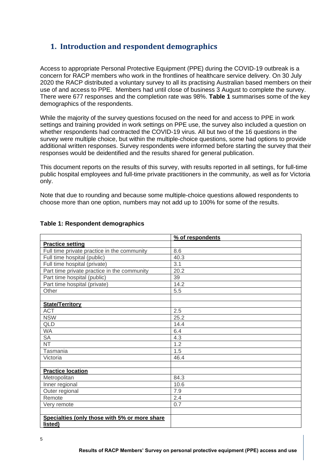## **1. Introduction and respondent demographics**

Access to appropriate Personal Protective Equipment (PPE) during the COVID-19 outbreak is a concern for RACP members who work in the frontlines of healthcare service delivery. On 30 July 2020 the RACP distributed a voluntary survey to all its practising Australian based members on their use of and access to PPE. Members had until close of business 3 August to complete the survey. There were 677 responses and the completion rate was 98%. **Table 1** summarises some of the key demographics of the respondents.

While the majority of the survey questions focused on the need for and access to PPE in work settings and training provided in work settings on PPE use, the survey also included a question on whether respondents had contracted the COVID-19 virus. All but two of the 16 questions in the survey were multiple choice, but within the multiple-choice questions, some had options to provide additional written responses. Survey respondents were informed before starting the survey that their responses would be deidentified and the results shared for general publication.

This document reports on the results of this survey, with results reported in all settings, for full-time public hospital employees and full-time private practitioners in the community, as well as for Victoria only.

Note that due to rounding and because some multiple-choice questions allowed respondents to choose more than one option, numbers may not add up to 100% for some of the results.

|                                               | % of respondents |
|-----------------------------------------------|------------------|
| <b>Practice setting</b>                       |                  |
| Full time private practice in the community   | 8.6              |
| Full time hospital (public)                   | 40.3             |
| Full time hospital (private)                  | 3.1              |
| Part time private practice in the community   | 20.2             |
| Part time hospital (public)                   | 39               |
| Part time hospital (private)                  | 14.2             |
| Other                                         | 5.5              |
|                                               |                  |
| <b>State/Territory</b>                        |                  |
| <b>ACT</b>                                    | 2.5              |
| <b>NSW</b>                                    | 25.2             |
| <b>QLD</b>                                    | 14.4             |
| <b>WA</b>                                     | 6.4              |
| <b>SA</b>                                     | 4.3              |
| <b>NT</b>                                     | 1.2              |
| Tasmania                                      | 1.5              |
| Victoria                                      | 46.4             |
|                                               |                  |
| <b>Practice location</b>                      |                  |
| Metropolitan                                  | 84.3             |
| Inner regional                                | 10.6             |
| Outer regional                                | 7.9              |
| Remote                                        | 2.4              |
| Very remote                                   | 0.7              |
|                                               |                  |
| Specialties (only those with 5% or more share |                  |
| listed)                                       |                  |

#### **Table 1: Respondent demographics**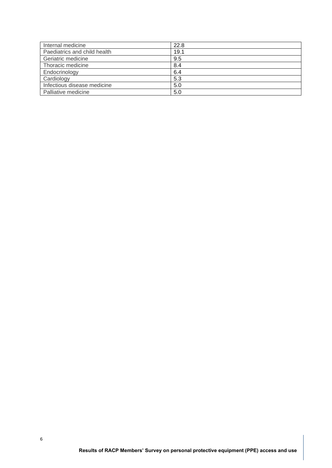| Internal medicine            | 22.8 |
|------------------------------|------|
| Paediatrics and child health | 19.1 |
| Geriatric medicine           | 9.5  |
| Thoracic medicine            | 8.4  |
| Endocrinology                | 6.4  |
| Cardiology                   | 5.3  |
| Infectious disease medicine  | 5.0  |
| Palliative medicine          | 5.0  |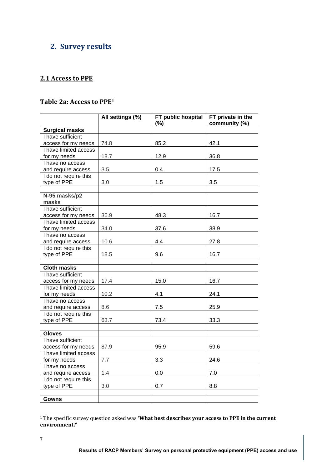# **2. Survey results**

## **2.1 Access to PPE**

#### **Table 2a: Access to PPE<sup>1</sup>**

|                       | All settings (%) | FT public hospital<br>$(\%)$ | FT private in the<br>community (%) |
|-----------------------|------------------|------------------------------|------------------------------------|
| <b>Surgical masks</b> |                  |                              |                                    |
| I have sufficient     |                  |                              |                                    |
| access for my needs   | 74.8             | 85.2                         | 42.1                               |
| I have limited access |                  |                              |                                    |
| for my needs          | 18.7             | 12.9                         | 36.8                               |
| I have no access      |                  |                              |                                    |
| and require access    | 3.5              | 0.4                          | 17.5                               |
| I do not require this |                  |                              |                                    |
| type of PPE           | 3.0              | 1.5                          | 3.5                                |
|                       |                  |                              |                                    |
| N-95 masks/p2         |                  |                              |                                    |
| masks                 |                  |                              |                                    |
| I have sufficient     |                  |                              |                                    |
| access for my needs   | 36.9             | 48.3                         | 16.7                               |
| I have limited access |                  |                              |                                    |
| for my needs          | 34.0             | 37.6                         | 38.9                               |
| I have no access      |                  |                              |                                    |
| and require access    | 10.6             | 4.4                          | 27.8                               |
| I do not require this |                  |                              |                                    |
| type of PPE           | 18.5             | 9.6                          | 16.7                               |
|                       |                  |                              |                                    |
| <b>Cloth masks</b>    |                  |                              |                                    |
| I have sufficient     |                  |                              |                                    |
| access for my needs   | 17.4             | 15.0                         | 16.7                               |
| I have limited access |                  |                              |                                    |
| for my needs          | 10.2             | 4.1                          | 24.1                               |
| I have no access      |                  |                              |                                    |
| and require access    | 8.6              | 7.5                          | 25.9                               |
| I do not require this |                  |                              |                                    |
| type of PPE           | 63.7             | 73.4                         | 33.3                               |
|                       |                  |                              |                                    |
| <b>Gloves</b>         |                  |                              |                                    |
| I have sufficient     |                  |                              |                                    |
| access for my needs   | 87.9             | 95.9                         | 59.6                               |
| I have limited access |                  |                              |                                    |
| for my needs          | $7.7\,$          | 3.3                          | 24.6                               |
| I have no access      |                  |                              |                                    |
| and require access    | 1.4              | 0.0                          | 7.0                                |
| I do not require this |                  |                              |                                    |
| type of PPE           | 3.0              | 0.7                          | 8.8                                |
|                       |                  |                              |                                    |
| <b>Gowns</b>          |                  |                              |                                    |

<sup>1</sup> The specific survey question asked was **'What best describes your access to PPE in the current environment?'**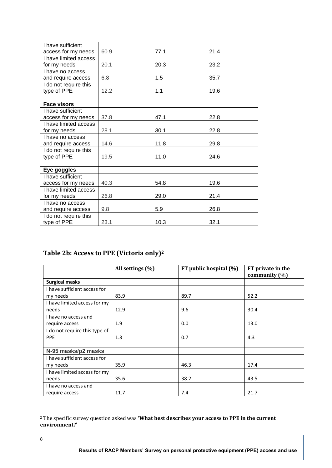| I have sufficient     |      |      |      |
|-----------------------|------|------|------|
| access for my needs   | 60.9 | 77.1 | 21.4 |
| I have limited access |      |      |      |
| for my needs          | 20.1 | 20.3 | 23.2 |
| I have no access      |      |      |      |
| and require access    | 6.8  | 1.5  | 35.7 |
| I do not require this |      |      |      |
| type of PPE           | 12.2 | 1.1  | 19.6 |
|                       |      |      |      |
| <b>Face visors</b>    |      |      |      |
| I have sufficient     |      |      |      |
| access for my needs   | 37.8 | 47.1 | 22.8 |
| I have limited access |      |      |      |
| for my needs          | 28.1 | 30.1 | 22.8 |
| I have no access      |      |      |      |
| and require access    | 14.6 | 11.8 | 29.8 |
| I do not require this |      |      |      |
| type of PPE           | 19.5 | 11.0 | 24.6 |
|                       |      |      |      |
| Eye goggles           |      |      |      |
| I have sufficient     |      |      |      |
| access for my needs   | 40.3 | 54.8 | 19.6 |
| I have limited access |      |      |      |
| for my needs          | 26.8 | 29.0 | 21.4 |
| I have no access      |      |      |      |
| and require access    | 9.8  | 5.9  | 26.8 |
| I do not require this |      |      |      |
| type of PPE           | 23.1 | 10.3 | 32.1 |

# **Table 2b: Access to PPE (Victoria only)<sup>2</sup>**

|                               | All settings (%) | FT public hospital (%) | FT private in the<br>community $(\% )$ |
|-------------------------------|------------------|------------------------|----------------------------------------|
| <b>Surgical masks</b>         |                  |                        |                                        |
| I have sufficient access for  |                  |                        |                                        |
| my needs                      | 83.9             | 89.7                   | 52.2                                   |
| I have limited access for my  |                  |                        |                                        |
| needs                         | 12.9             | 9.6                    | 30.4                                   |
| I have no access and          |                  |                        |                                        |
| require access                | 1.9              | 0.0                    | 13.0                                   |
| I do not require this type of |                  |                        |                                        |
| <b>PPE</b>                    | 1.3              | 0.7                    | 4.3                                    |
|                               |                  |                        |                                        |
| N-95 masks/p2 masks           |                  |                        |                                        |
| I have sufficient access for  |                  |                        |                                        |
| my needs                      | 35.9             | 46.3                   | 17.4                                   |
| I have limited access for my  |                  |                        |                                        |
| needs                         | 35.6             | 38.2                   | 43.5                                   |
| I have no access and          |                  |                        |                                        |
| require access                | 11.7             | 7.4                    | 21.7                                   |

<sup>2</sup> The specific survey question asked was **'What best describes your access to PPE in the current environment?'**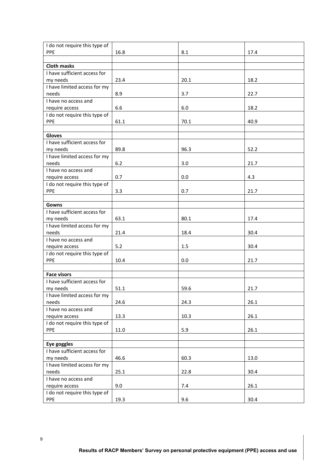| I do not require this type of            |       |      |      |
|------------------------------------------|-------|------|------|
| PPE                                      | 16.8  | 8.1  | 17.4 |
|                                          |       |      |      |
| <b>Cloth masks</b>                       |       |      |      |
| I have sufficient access for<br>my needs | 23.4  | 20.1 | 18.2 |
| I have limited access for my             |       |      |      |
| needs                                    | 8.9   | 3.7  | 22.7 |
| I have no access and                     |       |      |      |
| require access                           | 6.6   | 6.0  | 18.2 |
| I do not require this type of            |       |      |      |
| PPE                                      | 61.1  | 70.1 | 40.9 |
|                                          |       |      |      |
| <b>Gloves</b>                            |       |      |      |
| I have sufficient access for             |       |      |      |
| my needs                                 | 89.8  | 96.3 | 52.2 |
| I have limited access for my             |       |      |      |
| needs                                    | $6.2$ | 3.0  | 21.7 |
| I have no access and                     |       |      |      |
| require access                           | 0.7   | 0.0  | 4.3  |
| I do not require this type of            |       |      |      |
| PPE                                      | 3.3   | 0.7  | 21.7 |
|                                          |       |      |      |
| Gowns                                    |       |      |      |
| I have sufficient access for             |       |      |      |
| my needs                                 | 63.1  | 80.1 | 17.4 |
| I have limited access for my             |       |      |      |
| needs                                    | 21.4  | 18.4 | 30.4 |
| I have no access and                     |       |      |      |
| require access                           | 5.2   | 1.5  | 30.4 |
| I do not require this type of            |       |      |      |
| PPE                                      | 10.4  | 0.0  | 21.7 |
|                                          |       |      |      |
| <b>Face visors</b>                       |       |      |      |
| I have sufficient access for             | 51.1  | 59.6 | 21.7 |
| my needs                                 |       |      |      |
| I have limited access for my<br>needs    | 24.6  | 24.3 | 26.1 |
| I have no access and                     |       |      |      |
| require access                           | 13.3  | 10.3 | 26.1 |
| I do not require this type of            |       |      |      |
| PPE                                      | 11.0  | 5.9  | 26.1 |
|                                          |       |      |      |
| Eye goggles                              |       |      |      |
| I have sufficient access for             |       |      |      |
| my needs                                 | 46.6  | 60.3 | 13.0 |
| I have limited access for my             |       |      |      |
| needs                                    | 25.1  | 22.8 | 30.4 |
| I have no access and                     |       |      |      |
| require access                           | 9.0   | 7.4  | 26.1 |
| I do not require this type of            |       |      |      |
| PPE                                      | 19.3  | 9.6  | 30.4 |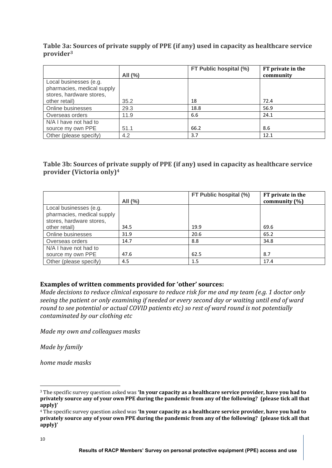## **Table 3a: Sources of private supply of PPE (if any) used in capacity as healthcare service provider<sup>3</sup>**

|                            |             | FT Public hospital (%) | FT private in the |
|----------------------------|-------------|------------------------|-------------------|
|                            | All $(\% )$ |                        | community         |
| Local businesses (e.g.     |             |                        |                   |
| pharmacies, medical supply |             |                        |                   |
| stores, hardware stores,   |             |                        |                   |
| other retail)              | 35.2        | 18                     | 72.4              |
| Online businesses          | 29.3        | 18.8                   | 56.9              |
| Overseas orders            | 11.9        | 6.6                    | 24.1              |
| N/A I have not had to      |             |                        |                   |
| source my own PPE          | 51.1        | 66.2                   | 8.6               |
| Other (please specify)     | 4.2         | 3.7                    | 12.1              |

## **Table 3b: Sources of private supply of PPE (if any) used in capacity as healthcare service provider (Victoria only)<sup>4</sup>**

|                            | All $(\% )$ | FT Public hospital (%) | FT private in the<br>community $(\%)$ |
|----------------------------|-------------|------------------------|---------------------------------------|
| Local businesses (e.g.     |             |                        |                                       |
| pharmacies, medical supply |             |                        |                                       |
| stores, hardware stores,   |             |                        |                                       |
| other retail)              | 34.5        | 19.9                   | 69.6                                  |
| Online businesses          | 31.9        | 20.6                   | 65.2                                  |
| Overseas orders            | 14.7        | 8.8                    | 34.8                                  |
| N/A I have not had to      |             |                        |                                       |
| source my own PPE          | 47.6        | 62.5                   | 8.7                                   |
| Other (please specify)     | 4.5         | 1.5                    | 17.4                                  |

#### **Examples of written comments provided for 'other' sources:**

*Made decisions to reduce clinical exposure to reduce risk for me and my team (e.g. 1 doctor only seeing the patient or only examining if needed or every second day or waiting until end of ward round to see potential or actual COVID patients etc) so rest of ward round is not potentially contaminated by our clothing etc*

*Made my own and colleagues masks*

*Made by family*

*home made masks*

<sup>3</sup> The specific survey question asked was **'In your capacity as a healthcare service provider, have you had to privately source any of your own PPE during the pandemic from any of the following? (please tick all that apply)'**

<sup>4</sup> The specific survey question asked was **'In your capacity as a healthcare service provider, have you had to privately source any of your own PPE during the pandemic from any of the following? (please tick all that apply)'**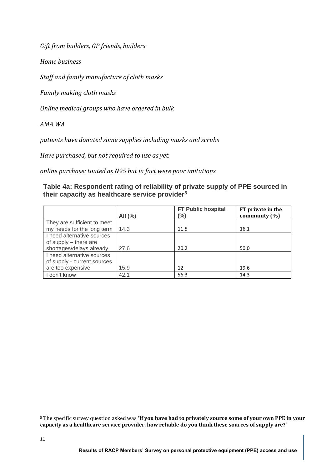*Gift from builders, GP friends, builders*

*Home business*

*Staff and family manufacture of cloth masks*

*Family making cloth masks*

*Online medical groups who have ordered in bulk*

*AMA WA* 

*patients have donated some supplies including masks and scrubs*

*Have purchased, but not required to use as yet.* 

*online purchase: touted as N95 but in fact were poor imitations*

**Table 4a: Respondent rating of reliability of private supply of PPE sourced in their capacity as healthcare service provider<sup>5</sup>**

|                             | All (%) | <b>FT Public hospital</b><br>(%) | FT private in the<br>community $(\% )$ |
|-----------------------------|---------|----------------------------------|----------------------------------------|
| They are sufficient to meet |         |                                  |                                        |
| my needs for the long term  | 14.3    | 11.5                             | 16.1                                   |
| I need alternative sources  |         |                                  |                                        |
| of supply $-$ there are     |         |                                  |                                        |
| shortages/delays already    | 27.6    | 20.2                             | 50.0                                   |
| I need alternative sources  |         |                                  |                                        |
| of supply - current sources |         |                                  |                                        |
| are too expensive           | 15.9    | 12                               | 19.6                                   |
| I don't know                | 42.1    | 56.3                             | 14.3                                   |

<sup>5</sup> The specific survey question asked was **'If you have had to privately source some of your own PPE in your capacity as a healthcare service provider, how reliable do you think these sources of supply are?'**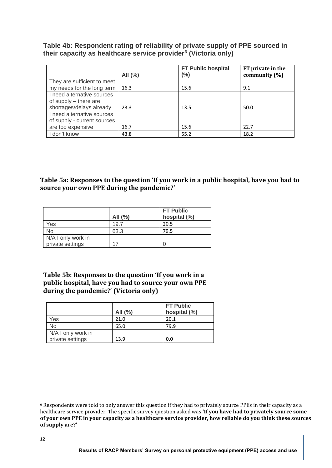**Table 4b: Respondent rating of reliability of private supply of PPE sourced in their capacity as healthcare service provider<sup>6</sup> (Victoria only)**

|                                                                                   | All $(\%)$ | FT Public hospital<br>(%) | FT private in the<br>community $(\% )$ |
|-----------------------------------------------------------------------------------|------------|---------------------------|----------------------------------------|
| They are sufficient to meet<br>my needs for the long term                         | 16.3       | 15.6                      | 9.1                                    |
| I need alternative sources<br>of supply $-$ there are<br>shortages/delays already | 23.3       | 13.5                      | 50.0                                   |
| I need alternative sources<br>of supply - current sources<br>are too expensive    | 16.7       | 15.6                      | 22.7                                   |
| I don't know                                                                      | 43.8       | 55.2                      | 18.2                                   |

**Table 5a: Responses to the question 'If you work in a public hospital, have you had to source your own PPE during the pandemic?'**

|                    | All $(\% )$ | <b>FT Public</b><br>hospital (%) |
|--------------------|-------------|----------------------------------|
| Yes                | 19.7        | 20.5                             |
| No                 | 63.3        | 79.5                             |
| N/A I only work in |             |                                  |
| private settings   |             |                                  |

**Table 5b: Responses to the question 'If you work in a public hospital, have you had to source your own PPE during the pandemic?' (Victoria only)**

|                    | All $(\% )$ | <b>FT Public</b><br>hospital (%) |
|--------------------|-------------|----------------------------------|
| Yes                | 21.0        | 20.1                             |
| <b>No</b>          | 65.0        | 79.9                             |
| N/A I only work in |             |                                  |
| private settings   | 13.9        | 0.0                              |

<sup>6</sup> Respondents were told to only answer this question if they had to privately source PPEs in their capacity as a healthcare service provider. The specific survey question asked was **'If you have had to privately source some of your own PPE in your capacity as a healthcare service provider, how reliable do you think these sources of supply are?'**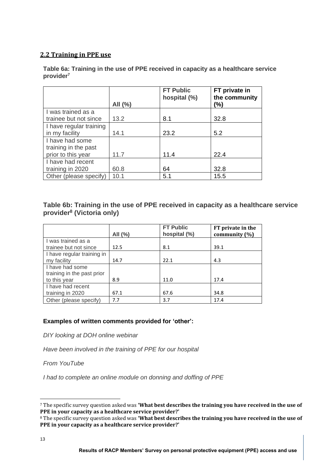## **2.2 Training in PPE use**

**Table 6a: Training in the use of PPE received in capacity as a healthcare service provider<sup>7</sup>**

|                         | All (%) | <b>FT Public</b><br>hospital (%) | FT private in<br>the community<br>(%) |
|-------------------------|---------|----------------------------------|---------------------------------------|
| I was trained as a      |         |                                  |                                       |
| trainee but not since   | 13.2    | 8.1                              | 32.8                                  |
| I have regular training |         |                                  |                                       |
| in my facility          | 14.1    | 23.2                             | 5.2                                   |
| I have had some         |         |                                  |                                       |
| training in the past    |         |                                  |                                       |
| prior to this year      | 11.7    | 11.4                             | 22.4                                  |
| I have had recent       |         |                                  |                                       |
| training in 2020        | 60.8    | 64                               | 32.8                                  |
| Other (please specify)  | 10.1    | 5.1                              | 15.5                                  |

## **Table 6b: Training in the use of PPE received in capacity as a healthcare service provider<sup>8</sup> (Victoria only)**

|                            | All $(%)$ | <b>FT Public</b><br>hospital (%) | FT private in the<br>community $(\% )$ |
|----------------------------|-----------|----------------------------------|----------------------------------------|
| I was trained as a         |           |                                  |                                        |
| trainee but not since      | 12.5      | 8.1                              | 39.1                                   |
| I have regular training in |           |                                  |                                        |
| my facility                | 14.7      | 22.1                             | 4.3                                    |
| I have had some            |           |                                  |                                        |
| training in the past prior |           |                                  |                                        |
| to this year               | 8.9       | 11.0                             | 17.4                                   |
| I have had recent          |           |                                  |                                        |
| training in 2020           | 67.1      | 67.6                             | 34.8                                   |
| Other (please specify)     | 7.7       | 3.7                              | 17.4                                   |

#### **Examples of written comments provided for 'other':**

*DIY looking at DOH online webinar*

*Have been involved in the training of PPE for our hospital*

*From YouTube* 

*I had to complete an online module on donning and doffing of PPE*

<sup>7</sup> The specific survey question asked was **'What best describes the training you have received in the use of PPE in your capacity as a healthcare service provider?'**

<sup>8</sup> The specific survey question asked was **'What best describes the training you have received in the use of PPE in your capacity as a healthcare service provider?'**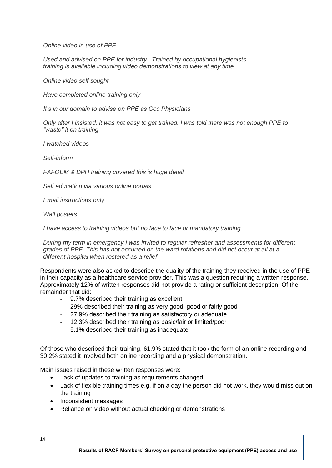*Online video in use of PPE*

*Used and advised on PPE for industry. Trained by occupational hygienists training is available including video demonstrations to view at any time*

*Online video self sought* 

*Have completed online training only*

*It's in our domain to advise on PPE as Occ Physicians*

*Only after I insisted, it was not easy to get trained. I was told there was not enough PPE to "waste" it on training*

*I watched videos*

*Self-inform*

*FAFOEM & DPH training covered this is huge detail*

*Self education via various online portals* 

*Email instructions only*

*Wall posters*

*I have access to training videos but no face to face or mandatory training*

*During my term in emergency I was invited to regular refresher and assessments for different grades of PPE. This has not occurred on the ward rotations and did not occur at all at a different hospital when rostered as a relief*

Respondents were also asked to describe the quality of the training they received in the use of PPE in their capacity as a healthcare service provider. This was a question requiring a written response. Approximately 12% of written responses did not provide a rating or sufficient description. Of the remainder that did:

- 9.7% described their training as excellent
- 29% described their training as very good, good or fairly good
- 27.9% described their training as satisfactory or adequate
- 12.3% described their training as basic/fair or limited/poor
- 5.1% described their training as inadequate

Of those who described their training, 61.9% stated that it took the form of an online recording and 30.2% stated it involved both online recording and a physical demonstration.

Main issues raised in these written responses were:

- Lack of updates to training as requirements changed
- Lack of flexible training times e.g. if on a day the person did not work, they would miss out on the training
- Inconsistent messages
- Reliance on video without actual checking or demonstrations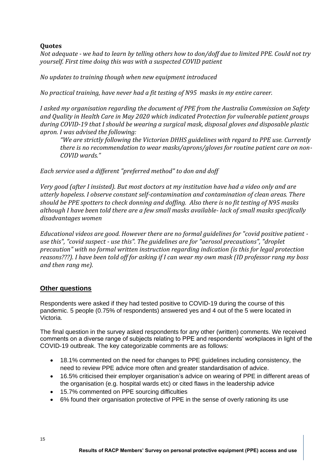## **Quotes**

*Not adequate - we had to learn by telling others how to don/doff due to limited PPE. Could not try yourself. First time doing this was with a suspected COVID patient*

*No updates to training though when new equipment introduced*

*No practical training, have never had a fit testing of N95 masks in my entire career.*

*I asked my organisation regarding the document of PPE from the Australia Commission on Safety and Quality in Health Care in May 2020 which indicated Protection for vulnerable patient groups during COVID-19 that I should be wearing a surgical mask, disposal gloves and disposable plastic apron. I was advised the following:*

*"We are strictly following the Victorian DHHS guidelines with regard to PPE use. Currently there is no recommendation to wear masks/aprons/gloves for routine patient care on non-COVID wards."*

*Each service used a different "preferred method" to don and doff*

*Very good (after I insisted). But most doctors at my institution have had a video only and are utterly hopeless. I observe constant self-contamination and contamination of clean areas. There should be PPE spotters to check donning and doffing. Also there is no fit testing of N95 masks although I have been told there are a few small masks available- lack of small masks specifically disadvantages women*

*Educational videos are good. However there are no formal guidelines for "covid positive patient use this", "covid suspect - use this". The guidelines are for "aerosol precautions", "droplet precaution" with no formal written instruction regarding indication (is this for legal protection reasons???). I have been told off for asking if I can wear my own mask (ID professor rang my boss and then rang me).*

#### **Other questions**

Respondents were asked if they had tested positive to COVID-19 during the course of this pandemic. 5 people (0.75% of respondents) answered yes and 4 out of the 5 were located in Victoria.

The final question in the survey asked respondents for any other (written) comments. We received comments on a diverse range of subjects relating to PPE and respondents' workplaces in light of the COVID-19 outbreak. The key categorizable comments are as follows:

- 18.1% commented on the need for changes to PPE guidelines including consistency, the need to review PPE advice more often and greater standardisation of advice.
- 16.5% criticised their employer organisation's advice on wearing of PPE in different areas of the organisation (e.g. hospital wards etc) or cited flaws in the leadership advice
- 15.7% commented on PPE sourcing difficulties
- 6% found their organisation protective of PPE in the sense of overly rationing its use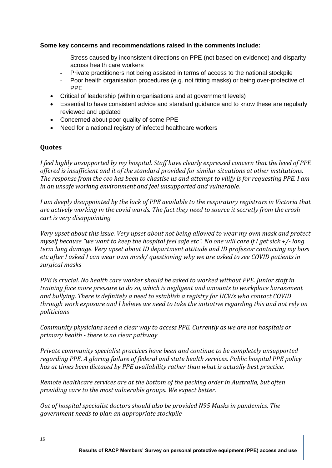#### **Some key concerns and recommendations raised in the comments include:**

- Stress caused by inconsistent directions on PPE (not based on evidence) and disparity across health care workers
- Private practitioners not being assisted in terms of access to the national stockpile
- Poor health organisation procedures (e.g. not fitting masks) or being over-protective of PPE
- Critical of leadership (within organisations and at government levels)
- Essential to have consistent advice and standard guidance and to know these are regularly reviewed and updated
- Concerned about poor quality of some PPE
- Need for a national registry of infected healthcare workers

#### **Quotes**

*I feel highly unsupported by my hospital. Staff have clearly expressed concern that the level of PPE offered is insufficient and it of the standard provided for similar situations at other institutions. The response from the ceo has been to chastise us and attempt to vilify is for requesting PPE. I am in an unsafe working environment and feel unsupported and vulnerable.* 

*I am deeply disappointed by the lack of PPE available to the respiratory registrars in Victoria that are actively working in the covid wards. The fact they need to source it secretly from the crash cart is very disappointing* 

*Very upset about this issue. Very upset about not being allowed to wear my own mask and protect myself because "we want to keep the hospital feel safe etc". No one will care if I get sick +/- long term lung damage. Very upset about ID department attitude and ID professor contacting my boss etc after I asked I can wear own mask/ questioning why we are asked to see COVID patients in surgical masks*

*PPE is crucial. No health care worker should be asked to worked without PPE. Junior staff in training face more pressure to do so, which is negligent and amounts to workplace harassment and bullying. There is definitely a need to establish a registry for HCWs who contact COVID through work exposure and I believe we need to take the initiative regarding this and not rely on politicians*

*Community physicians need a clear way to access PPE. Currently as we are not hospitals or primary health - there is no clear pathway*

*Private community specialist practices have been and continue to be completely unsupported regarding PPE. A glaring failure of federal and state health services. Public hospital PPE policy has at times been dictated by PPE availability rather than what is actually best practice.*

*Remote healthcare services are at the bottom of the pecking order in Australia, but often providing care to the most vulnerable groups. We expect better.*

*Out of hospital specialist doctors should also be provided N95 Masks in pandemics. The government needs to plan an appropriate stockpile*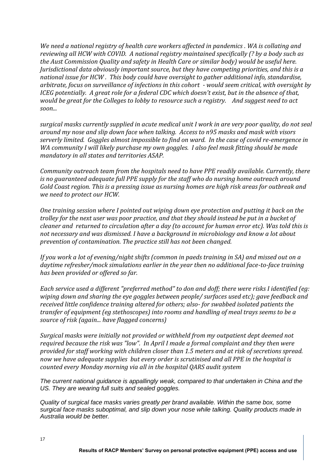*We need a national registry of health care workers affected in pandemics . WA is collating and reviewing all HCW with COVID. A national registry maintained specifically (? by a body such as the Aust Commission Quality and safety in Health Care or similar body) would be useful here. Jurisdictional data obviously important source, but they have competing priorities, and this is a national issue for HCW . This body could have oversight to gather additional info, standardise, arbitrate, focus on surveillance of infections in this cohort - would seem critical, with oversight by ICEG potentially. A great role for a federal CDC which doesn't exist, but in the absence of that, would be great for the Colleges to lobby to resource such a registry. And suggest need to act soon...*

*surgical masks currently supplied in acute medical unit I work in are very poor quality, do not seal around my nose and slip down face when talking. Access to n95 masks and mask with visors serverly limited. Goggles almost impossible to find on ward. In the case of covid re-emergence in WA community I will likely purchase my own goggles. I also feel mask fitting should be made mandatory in all states and territories ASAP.* 

*Community outreach team from the hospitals need to have PPE readily available. Currently, there is no guaranteed adequate full PPE supply for the staff who do nursing home outreach around Gold Coast region. This is a pressing issue as nursing homes are high risk areas for outbreak and we need to protect our HCW.*

*One training session where I pointed out wiping down eye protection and putting it back on the trolley for the next user was poor practice, and that they should instead be put in a bucket of cleaner and returned to circulation after a day (to account for human error etc). Was told this is not necessary and was dismissed. I have a background in microbiology and know a lot about prevention of contamination. The practice still has not been changed.*

*If you work a lot of evening/night shifts (common in paeds training in SA) and missed out on a daytime refresher/mock simulations earlier in the year then no additional face-to-face training has been provided or offered so far.* 

*Each service used a different "preferred method" to don and doff; there were risks I identified (eg: wiping down and sharing the eye goggles between people/ surfaces used etc); gave feedback and received little confidence training altered for others; also- for swabbed isolated patients the transfer of equipment (eg stethoscopes) into rooms and handling of meal trays seems to be a source of risk (again... have flagged concerns)*

*Surgical masks were initially not provided or withheld from my outpatient dept deemed not required because the risk was "low". In April I made a formal complaint and they then were provided for staff working with children closer than 1.5 meters and at risk of secretions spread. now we have adequate supplies but every order is scrutinised and all PPE in the hospital is counted every Monday morning via all in the hospital QARS audit system*

*The current national guidance is appallingly weak, compared to that undertaken in China and the US. They are wearing full suits and sealed goggles.* 

*Quality of surgical face masks varies greatly per brand available. Within the same box, some surgical face masks suboptimal, and slip down your nose while talking. Quality products made in Australia would be better.*